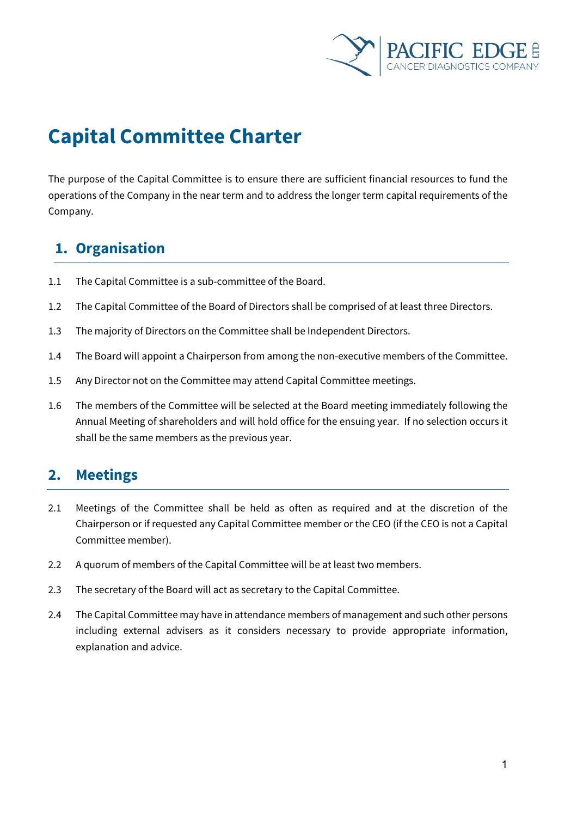

# **Capital Committee Charter**

The purpose of the Capital Committee is to ensure there are sufficient financial resources to fund the operations of the Company in the near term and to address the longer term capital requirements of the Company.

# **1. Organisation**

- 1.1 The Capital Committee is a sub-committee of the Board.
- 1.2 The Capital Committee of the Board of Directors shall be comprised of at least three Directors.
- 1.3 The majority of Directors on the Committee shall be Independent Directors.
- 1.4 The Board will appoint a Chairperson from among the non-executive members of the Committee.
- 1.5 Any Director not on the Committee may attend Capital Committee meetings.
- 1.6 The members of the Committee will be selected at the Board meeting immediately following the Annual Meeting of shareholders and will hold office for the ensuing year. If no selection occurs it shall be the same members as the previous year.

### **2. Meetings**

- 2.1 Meetings of the Committee shall be held as often as required and at the discretion of the Chairperson or if requested any Capital Committee member or the CEO (if the CEO is not a Capital Committee member).
- 2.2 A quorum of members of the Capital Committee will be at least two members.
- 2.3 The secretary of the Board will act as secretary to the Capital Committee.
- 2.4 The Capital Committee may have in attendance members of management and such other persons including external advisers as it considers necessary to provide appropriate information, explanation and advice.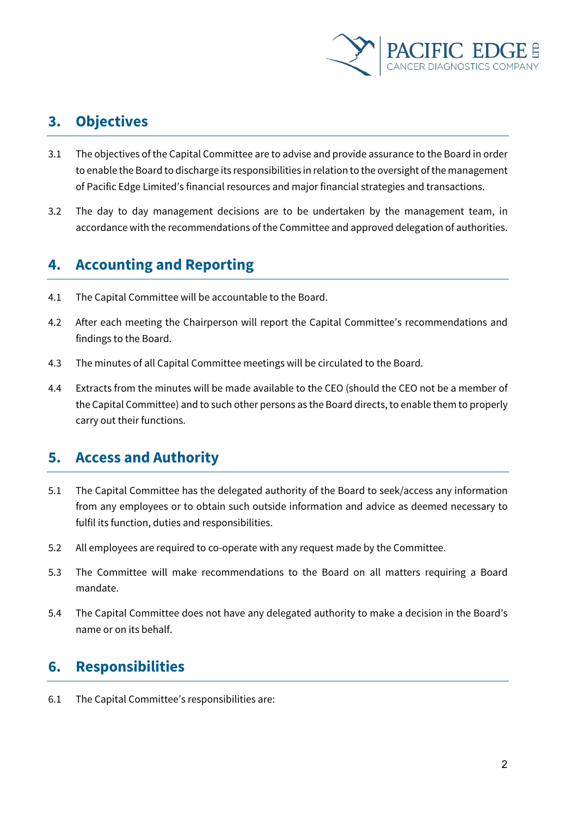

# **3. Objectives**

- 3.1 The objectives of the Capital Committee are to advise and provide assurance to the Board in order to enable the Board to discharge its responsibilities in relation to the oversight of the management of Pacific Edge Limited's financial resources and major financial strategies and transactions.
- 3.2 The day to day management decisions are to be undertaken by the management team, in accordance with the recommendations of the Committee and approved delegation of authorities.

# **4. Accounting and Reporting**

- 4.1 The Capital Committee will be accountable to the Board.
- 4.2 After each meeting the Chairperson will report the Capital Committee's recommendations and findings to the Board.
- 4.3 The minutes of all Capital Committee meetings will be circulated to the Board.
- 4.4 Extracts from the minutes will be made available to the CEO (should the CEO not be a member of the Capital Committee) and to such other persons as the Board directs, to enable them to properly carry out their functions.

### **5. Access and Authority**

- 5.1 The Capital Committee has the delegated authority of the Board to seek/access any information from any employees or to obtain such outside information and advice as deemed necessary to fulfil its function, duties and responsibilities.
- 5.2 All employees are required to co-operate with any request made by the Committee.
- 5.3 The Committee will make recommendations to the Board on all matters requiring a Board mandate.
- 5.4 The Capital Committee does not have any delegated authority to make a decision in the Board's name or on its behalf.

## **6. Responsibilities**

6.1 The Capital Committee's responsibilities are: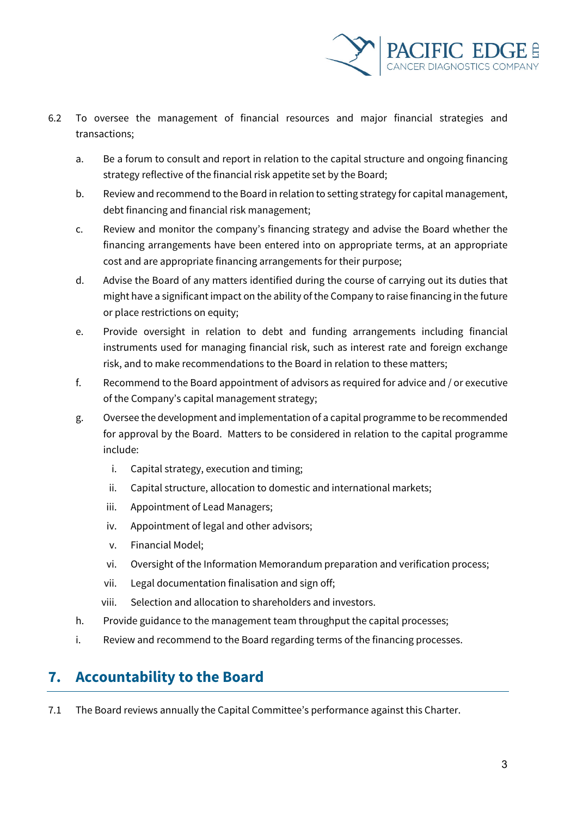

- 6.2 To oversee the management of financial resources and major financial strategies and transactions;
	- a. Be a forum to consult and report in relation to the capital structure and ongoing financing strategy reflective of the financial risk appetite set by the Board;
	- b. Review and recommend to the Board in relation to setting strategy for capital management, debt financing and financial risk management;
	- c. Review and monitor the company's financing strategy and advise the Board whether the financing arrangements have been entered into on appropriate terms, at an appropriate cost and are appropriate financing arrangements for their purpose;
	- d. Advise the Board of any matters identified during the course of carrying out its duties that might have a significant impact on the ability of the Company to raise financing in the future or place restrictions on equity;
	- e. Provide oversight in relation to debt and funding arrangements including financial instruments used for managing financial risk, such as interest rate and foreign exchange risk, and to make recommendations to the Board in relation to these matters;
	- f. Recommend to the Board appointment of advisors as required for advice and / or executive of the Company's capital management strategy;
	- g. Oversee the development and implementation of a capital programme to be recommended for approval by the Board. Matters to be considered in relation to the capital programme include:
		- i. Capital strategy, execution and timing;
		- ii. Capital structure, allocation to domestic and international markets;
		- iii. Appointment of Lead Managers;
		- iv. Appointment of legal and other advisors;
		- v. Financial Model;
		- vi. Oversight of the Information Memorandum preparation and verification process;
		- vii. Legal documentation finalisation and sign off;
		- viii. Selection and allocation to shareholders and investors.
	- h. Provide guidance to the management team throughput the capital processes;
	- i. Review and recommend to the Board regarding terms of the financing processes.

## **7. Accountability to the Board**

7.1 The Board reviews annually the Capital Committee's performance against this Charter.